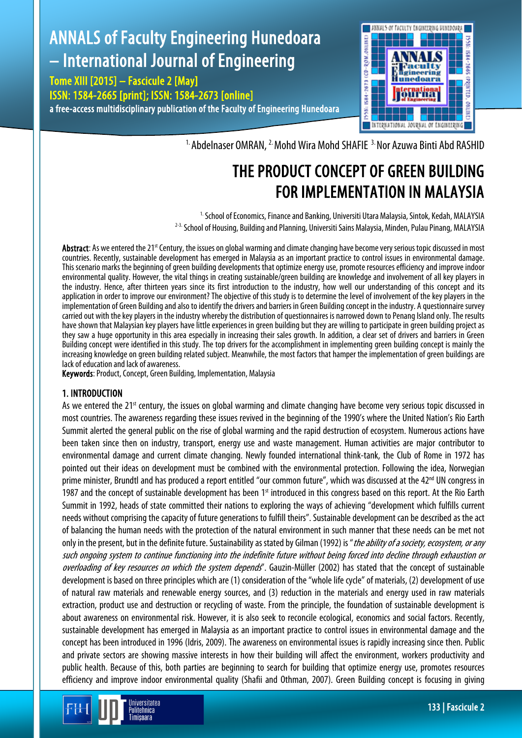# ANNALS of Faculty Engineering Hunedoara – International Journal of Engineering

Tome XIII [2015] – Fascicule 2 [May] ISSN: 1584-2665 [print]; ISSN: 1584-2673 [online] a free-access multidisciplinary publication of the Faculty of Engineering Hunedoara



<sup>1.</sup> Abdelnaser OMRAN, <sup>2.</sup> Mohd Wira Mohd SHAFIE <sup>3.</sup> Nor Azuwa Binti Abd RASHID

# THE PRODUCT CONCEPT OF GREEN BUILDING FOR IMPLEMENTATION IN MALAYSIA

<sup>1.</sup> School of Economics, Finance and Banking, Universiti Utara Malaysia, Sintok, Kedah, MALAYSIA <sup>2-3.</sup> School of Housing, Building and Planning, Universiti Sains Malaysia, Minden, Pulau Pinang, MALAYSIA

Abstract: As we entered the 21<sup>st</sup> Century, the issues on global warming and climate changing have become very serious topic discussed in most countries. Recently, sustainable development has emerged in Malaysia as an important practice to control issues in environmental damage. This scenario marks the beginning of green building developments that optimize energy use, promote resources efficiency and improve indoor environmental quality. However, the vital things in creating sustainable/green building are knowledge and involvement of all key players in the industry. Hence, after thirteen years since its first introduction to the industry, how well our understanding of this concept and its application in order to improve our environment? The objective of this study is to determine the level of involvement of the key players in the implementation of Green Building and also to identify the drivers and barriers in Green Building concept in the industry. A questionnaire survey carried out with the key players in the industry whereby the distribution of questionnaires is narrowed down to Penang Island only. The results have shown that Malaysian key players have little experiences in green building but they are willing to participate in green building project as they saw a huge opportunity in this area especially in increasing their sales growth. In addition, a clear set of drivers and barriers in Green Building concept were identified in this study. The top drivers for the accomplishment in implementing green building concept is mainly the increasing knowledge on green building related subject. Meanwhile, the most factors that hamper the implementation of green buildings are lack of education and lack of awareness.

Keywords: Product, Concept, Green Building, Implementation, Malaysia

# 1. INTRODUCTION

As we entered the 21<sup>st</sup> century, the issues on global warming and climate changing have become very serious topic discussed in most countries. The awareness regarding these issues revived in the beginning of the 1990's where the United Nation's Rio Earth Summit alerted the general public on the rise of global warming and the rapid destruction of ecosystem. Numerous actions have been taken since then on industry, transport, energy use and waste management. Human activities are major contributor to environmental damage and current climate changing. Newly founded international think-tank, the Club of Rome in 1972 has pointed out their ideas on development must be combined with the environmental protection. Following the idea, Norwegian prime minister, Brundtl and has produced a report entitled "our common future", which was discussed at the 42<sup>nd</sup> UN congress in 1987 and the concept of sustainable development has been  $1<sup>st</sup>$  introduced in this congress based on this report. At the Rio Earth Summit in 1992, heads of state committed their nations to exploring the ways of achieving "development which fulfills current needs without comprising the capacity of future generations to fulfill theirs". Sustainable development can be described as the act of balancing the human needs with the protection of the natural environment in such manner that these needs can be met not only in the present, but in the definite future. Sustainability as stated by Gilman (1992) is "*the ability of a society, ecosystem, or any* such ongoing system to continue functioning into the indefinite future without being forced into decline through exhaustion or overloading of key resources on which the system depends". Gauzin-Müller (2002) has stated that the concept of sustainable development is based on three principles which are (1) consideration of the "whole life cycle" of materials, (2) development of use of natural raw materials and renewable energy sources, and (3) reduction in the materials and energy used in raw materials extraction, product use and destruction or recycling of waste. From the principle, the foundation of sustainable development is about awareness on environmental risk. However, it is also seek to reconcile ecological, economics and social factors. Recently, sustainable development has emerged in Malaysia as an important practice to control issues in environmental damage and the concept has been introduced in 1996 (Idris, 2009). The awareness on environmental issues is rapidly increasing since then. Public and private sectors are showing massive interests in how their building will affect the environment, workers productivity and public health. Because of this, both parties are beginning to search for building that optimize energy use, promotes resources efficiency and improve indoor environmental quality (Shafii and Othman, 2007). Green Building concept is focusing in giving

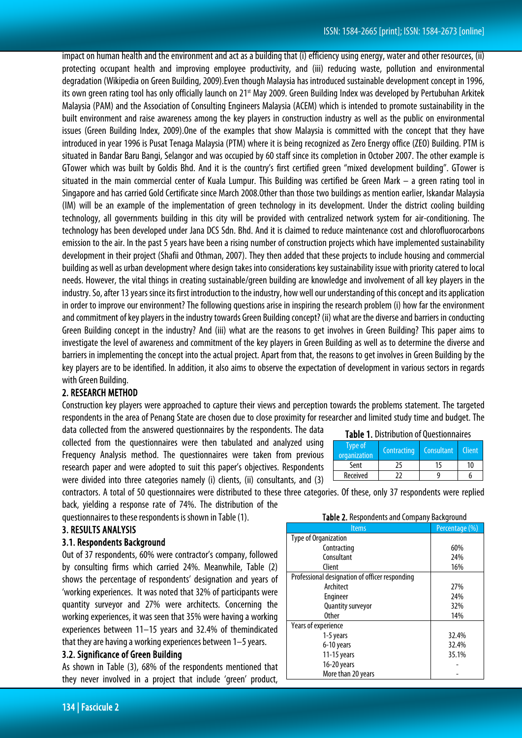impact on human health and the environment and act as a building that (i) efficiency using energy, water and other resources, (ii) protecting occupant health and improving employee productivity, and (iii) reducing waste, pollution and environmental degradation (Wikipedia on Green Building, 2009).Even though Malaysia has introduced sustainable development concept in 1996, its own green rating tool has only officially launch on 21<sup>st</sup> May 2009. Green Building Index was developed by Pertubuhan Arkitek Malaysia (PAM) and the Association of Consulting Engineers Malaysia (ACEM) which is intended to promote sustainability in the built environment and raise awareness among the key players in construction industry as well as the public on environmental issues (Green Building Index, 2009).One of the examples that show Malaysia is committed with the concept that they have introduced in year 1996 is Pusat Tenaga Malaysia (PTM) where it is being recognized as Zero Energy office (ZEO) Building. PTM is situated in Bandar Baru Bangi, Selangor and was occupied by 60 staff since its completion in October 2007. The other example is GTower which was built by Goldis Bhd. And it is the country's first certified green "mixed development building". GTower is situated in the main commercial center of Kuala Lumpur. This Building was certified be Green Mark – a green rating tool in Singapore and has carried Gold Certificate since March 2008.Other than those two buildings as mention earlier, Iskandar Malaysia (IM) will be an example of the implementation of green technology in its development. Under the district cooling building technology, all governments building in this city will be provided with centralized network system for air-conditioning. The technology has been developed under Jana DCS Sdn. Bhd. And it is claimed to reduce maintenance cost and chlorofluorocarbons emission to the air. In the past 5 years have been a rising number of construction projects which have implemented sustainability development in their project (Shafii and Othman, 2007). They then added that these projects to include housing and commercial building as well as urban development where design takes into considerations key sustainability issue with priority catered to local needs. However, the vital things in creating sustainable/green building are knowledge and involvement of all key players in the industry. So, after 13 years since its first introduction to the industry, how well our understanding of this concept and its application in order to improve our environment? The following questions arise in inspiring the research problem (i) how far the environment and commitment of key players in the industry towards Green Building concept? (ii) what are the diverse and barriers in conducting Green Building concept in the industry? And (iii) what are the reasons to get involves in Green Building? This paper aims to investigate the level of awareness and commitment of the key players in Green Building as well as to determine the diverse and barriers in implementing the concept into the actual project. Apart from that, the reasons to get involves in Green Building by the key players are to be identified. In addition, it also aims to observe the expectation of development in various sectors in regards with Green Building.

# 2. RESEARCH METHOD

Construction key players were approached to capture their views and perception towards the problems statement. The targeted respondents in the area of Penang State are chosen due to close proximity for researcher and limited study time and budget. The

data collected from the answered questionnaires by the respondents. The data collected from the questionnaires were then tabulated and analyzed using Frequency Analysis method. The questionnaires were taken from previous research paper and were adopted to suit this paper's objectives. Respondents were divided into three categories namely (i) clients, (ii) consultants, and (3)

|  | <b>Table 1. Distribution of Questionnaires</b> |
|--|------------------------------------------------|
|--|------------------------------------------------|

| Type of<br>organization | Contracting | Consultant | <b>Client</b> |
|-------------------------|-------------|------------|---------------|
| Sent                    |             |            | 10            |
| Received                |             |            |               |

contractors. A total of 50 questionnaires were distributed to these three categories. Of these, only 37 respondents were replied back, yielding a response rate of 74%. The distribution of the

questionnaires to these respondents is shown in Table (1).

#### 3. RESULTS ANALYSIS

#### 3.1. Respondents Background

Out of 37 respondents, 60% were contractor's company, followed by consulting firms which carried 24%. Meanwhile, Table (2) shows the percentage of respondents' designation and years of 'working experiences. It was noted that 32% of participants were quantity surveyor and 27% were architects. Concerning the working experiences, it was seen that 35% were having a working experiences between 11–15 years and 32.4% of themindicated that they are having a working experiences between 1–5 years.

# 3.2. Significance of Green Building

As shown in Table (3), 68% of the respondents mentioned that they never involved in a project that include 'green' product,

| Table 2. Respondents and Company Background    |                |  |  |
|------------------------------------------------|----------------|--|--|
| <b>Items</b>                                   | Percentage (%) |  |  |
| Type of Organization                           |                |  |  |
| Contracting                                    | 60%            |  |  |
| Consultant                                     | 24%            |  |  |
| Client                                         | 16%            |  |  |
| Professional designation of officer responding |                |  |  |
| Architect                                      | 27%            |  |  |
| Engineer                                       | 24%            |  |  |
| Quantity surveyor                              | 32%            |  |  |
| <b>Other</b>                                   | 14%            |  |  |
| Years of experience                            |                |  |  |
| 1-5 years                                      | 32.4%          |  |  |
| 6-10 years                                     | 32.4%          |  |  |
| 11-15 years                                    | 35.1%          |  |  |
| 16-20 years                                    |                |  |  |
| More than 20 years                             |                |  |  |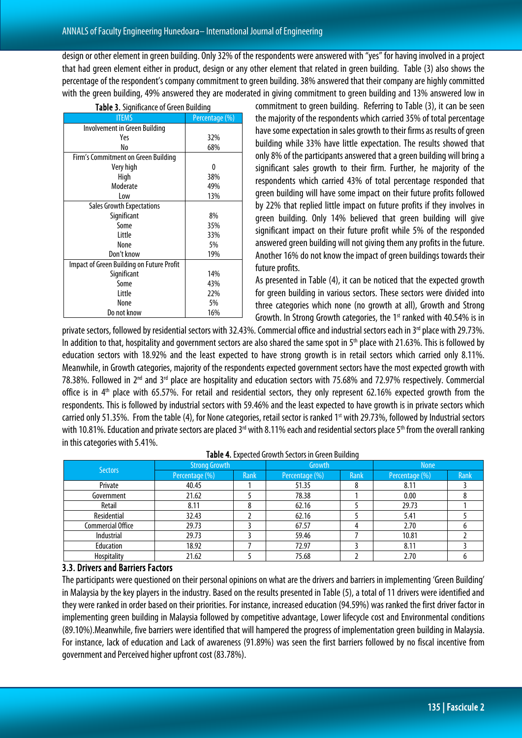design or other element in green building. Only 32% of the respondents were answered with "yes" for having involved in a project that had green element either in product, design or any other element that related in green building. Table (3) also shows the percentage of the respondent's company commitment to green building. 38% answered that their company are highly committed with the green building, 49% answered they are moderated in giving commitment to green building and 13% answered low in

| ווווווער געשוווווער איז וווווער איז <b>ווייט</b> נ |                |  |  |
|----------------------------------------------------|----------------|--|--|
| <b>ITEMS</b>                                       | Percentage (%) |  |  |
| Involvement in Green Building                      |                |  |  |
| Yes                                                | 32%            |  |  |
| No                                                 | 68%            |  |  |
| Firm's Commitment on Green Building                |                |  |  |
| Very high                                          | 0              |  |  |
| High                                               | 38%            |  |  |
| Moderate                                           | 49%            |  |  |
| Low                                                | 13%            |  |  |
| <b>Sales Growth Expectations</b>                   |                |  |  |
| Significant                                        | 8%             |  |  |
| Some                                               | 35%            |  |  |
| Little                                             | 33%            |  |  |
| None                                               | 5%             |  |  |
| Don't know                                         | 19%            |  |  |
| Impact of Green Building on Future Profit          |                |  |  |
| Significant                                        | 14%            |  |  |
| Some                                               | 43%            |  |  |
| Little                                             | 22%            |  |  |
| None                                               | 5%             |  |  |
| Do not know                                        | 16%            |  |  |

Table 3. Significance of Green Building

commitment to green building. Referring to Table (3), it can be seen the majority of the respondents which carried 35% of total percentage have some expectation in sales growth to their firms as results of green building while 33% have little expectation. The results showed that only 8% of the participants answered that a green building will bring a significant sales growth to their firm. Further, he majority of the respondents which carried 43% of total percentage responded that green building will have some impact on their future profits followed by 22% that replied little impact on future profits if they involves in green building. Only 14% believed that green building will give significant impact on their future profit while 5% of the responded answered green building will not giving them any profits in the future. Another 16% do not know the impact of green buildings towards their future profits.

As presented in Table (4), it can be noticed that the expected growth for green building in various sectors. These sectors were divided into three categories which none (no growth at all), Growth and Strong Growth. In Strong Growth categories, the 1<sup>st</sup> ranked with 40.54% is in

private sectors, followed by residential sectors with 32.43%. Commercial office and industrial sectors each in 3<sup>rd</sup> place with 29.73%. In addition to that, hospitality and government sectors are also shared the same spot in 5<sup>th</sup> place with 21.63%. This is followed by education sectors with 18.92% and the least expected to have strong growth is in retail sectors which carried only 8.11%. Meanwhile, in Growth categories, majority of the respondents expected government sectors have the most expected growth with 78.38%. Followed in 2nd and 3rd place are hospitality and education sectors with 75.68% and 72.97% respectively. Commercial office is in 4<sup>th</sup> place with 65.57%. For retail and residential sectors, they only represent 62.16% expected growth from the respondents. This is followed by industrial sectors with 59.46% and the least expected to have growth is in private sectors which carried only 51.35%. From the table (4), for None categories, retail sector is ranked 1<sup>st</sup> with 29.73%, followed by Industrial sectors with 10.81%. Education and private sectors are placed 3<sup>rd</sup> with 8.11% each and residential sectors place 5<sup>th</sup> from the overall ranking in this categories with 5.41%.

|                          | <b>Strong Growth</b> |             | Growth         |             | <b>None</b>    |             |
|--------------------------|----------------------|-------------|----------------|-------------|----------------|-------------|
| <b>Sectors</b>           | Percentage (%)       | <b>Rank</b> | Percentage (%) | <b>Rank</b> | Percentage (%) | <b>Rank</b> |
| Private                  | 40.45                |             | 51.35          | 8           | 8.11           |             |
| Government               | 21.62                |             | 78.38          |             | 0.00           |             |
| Retail                   | 8.11                 |             | 62.16          |             | 29.73          |             |
| Residential              | 32.43                |             | 62.16          |             | 5.41           |             |
| <b>Commercial Office</b> | 29.73                |             | 67.57          |             | 2.70           |             |
| Industrial               | 29.73                |             | 59.46          |             | 10.81          |             |
| Education                | 18.92                |             | 72.97          |             | 8.11           |             |
| Hospitality              | 21.62                |             | 75.68          |             | 2.70           |             |

|  | Table 4. Expected Growth Sectors in Green Building |  |  |  |  |
|--|----------------------------------------------------|--|--|--|--|
|--|----------------------------------------------------|--|--|--|--|

#### 3.3. Drivers and Barriers Factors

The participants were questioned on their personal opinions on what are the drivers and barriers in implementing 'Green Building' in Malaysia by the key players in the industry. Based on the results presented in Table (5), a total of 11 drivers were identified and they were ranked in order based on their priorities. For instance, increased education (94.59%) was ranked the first driver factor in implementing green building in Malaysia followed by competitive advantage, Lower lifecycle cost and Environmental conditions (89.10%).Meanwhile, five barriers were identified that will hampered the progress of implementation green building in Malaysia. For instance, lack of education and Lack of awareness (91.89%) was seen the first barriers followed by no fiscal incentive from government and Perceived higher upfront cost (83.78%).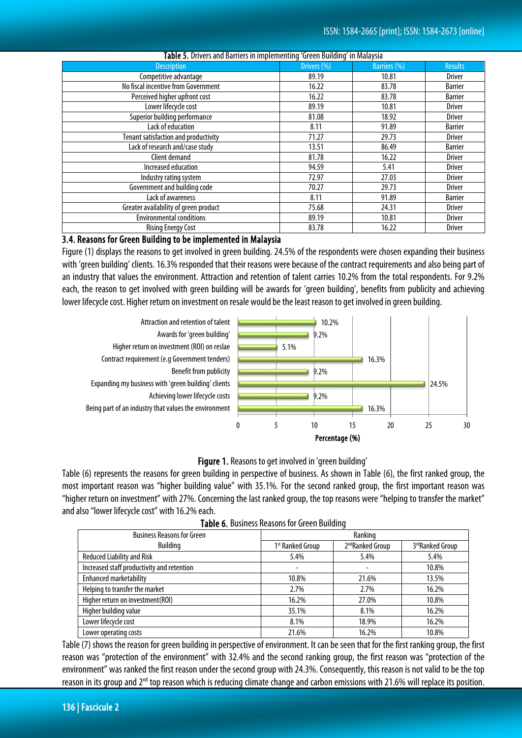| <b>TWEE ST</b> DITTERS and Darriers in implementing forcen Danality in malaysia |             |                     |                |  |  |  |
|---------------------------------------------------------------------------------|-------------|---------------------|----------------|--|--|--|
| <b>Description</b>                                                              | Drivers (%) | <b>Barriers (%)</b> | <b>Results</b> |  |  |  |
| Competitive advantage                                                           | 89.19       | 10.81               | <b>Driver</b>  |  |  |  |
| No fiscal incentive from Government                                             | 16.22       | 83.78               | <b>Barrier</b> |  |  |  |
| Perceived higher upfront cost                                                   | 16.22       | 83.78               | <b>Barrier</b> |  |  |  |
| Lower lifecycle cost                                                            | 89.19       | 10.81               | <b>Driver</b>  |  |  |  |
| Superior building performance                                                   | 81.08       | 18.92               | <b>Driver</b>  |  |  |  |
| Lack of education                                                               | 8.11        | 91.89               | <b>Barrier</b> |  |  |  |
| Tenant satisfaction and productivity                                            | 71.27       | 29.73               | <b>Driver</b>  |  |  |  |
| Lack of research and/case study                                                 | 13.51       | 86.49               | <b>Barrier</b> |  |  |  |
| Client demand                                                                   | 81.78       | 16.22               | <b>Driver</b>  |  |  |  |
| Increased education                                                             | 94.59       | 5.41                | <b>Driver</b>  |  |  |  |
| Industry rating system                                                          | 72.97       | 27.03               | <b>Driver</b>  |  |  |  |
| Government and building code                                                    | 70.27       | 29.73               | <b>Driver</b>  |  |  |  |
| Lack of awareness                                                               | 8.11        | 91.89               | <b>Barrier</b> |  |  |  |
| Greater availability of green product                                           | 75.68       | 24.31               | <b>Driver</b>  |  |  |  |
| <b>Environmental conditions</b>                                                 | 89.19       | 10.81               | <b>Driver</b>  |  |  |  |
| <b>Rising Energy Cost</b>                                                       | 83.78       | 16.22               | <b>Driver</b>  |  |  |  |

#### Table 5. Drivers and Barriers in implementing 'Green Building' in Malaysia

### 3.4. Reasons for Green Building to be implemented in Malaysia

Figure (1) displays the reasons to get involved in green building. 24.5% of the respondents were chosen expanding their business with 'green building' clients. 16.3% responded that their reasons were because of the contract requirements and also being partof an industry that values the environment. Attraction and retention of talent carries 10.2% from the total respondents. For 9.2% each, the reason to get involved with green building will be awards for 'green building', benefits from publicity and achieving lower lifecycle cost. Higher return on investment on resale would be the least reason to get involved in green building.





Table (6) represents the reasons for green building in perspective of business. As shown in Table (6), the first ranked group, the most important reason was "higher building value" with 35.1%. For the second ranked group, the first important reason was "higher return on investment" with 27%. Concerning the last ranked group, the top reasons were "helping to transfer the market" and also "lower lifecycle cost" with 16.2% each.

| <b>Business Reasons for Green</b>          |                              | Ranking                      |                 |
|--------------------------------------------|------------------------------|------------------------------|-----------------|
| <b>Building</b>                            | 1 <sup>st</sup> Ranked Group | 2 <sup>nd</sup> Ranked Group | 3rdRanked Group |
| <b>Reduced Liability and Risk</b>          | 5.4%                         | 5.4%                         | 5.4%            |
| Increased staff productivity and retention |                              |                              | 10.8%           |
| <b>Enhanced marketability</b>              | 10.8%                        | 21.6%                        | 13.5%           |
| Helping to transfer the market             | 2.7%                         | 2.7%                         | 16.2%           |
| Higher return on investment (ROI)          | 16.2%                        | 27.0%                        | 10.8%           |
| Higher building value                      | 35.1%                        | 8.1%                         | 16.2%           |
| Lower lifecycle cost                       | 8.1%                         | 18.9%                        | 16.2%           |
| Lower operating costs                      | 21.6%                        | 16.2%                        | 10.8%           |

|  |  | Table 6. Business Reasons for Green Building |
|--|--|----------------------------------------------|
|--|--|----------------------------------------------|

Table (7) shows the reason for green building in perspective of environment. It can be seen that for the first ranking group, the first reason was "protection of the environment" with 32.4% and the second ranking group, the first reason was "protection of the environment" was ranked the first reason under the second group with 24.3%. Consequently, this reason is not valid to be the top reason in its group and 2<sup>nd</sup> top reason which is reducing climate change and carbon emissions with 21.6% will replace its position.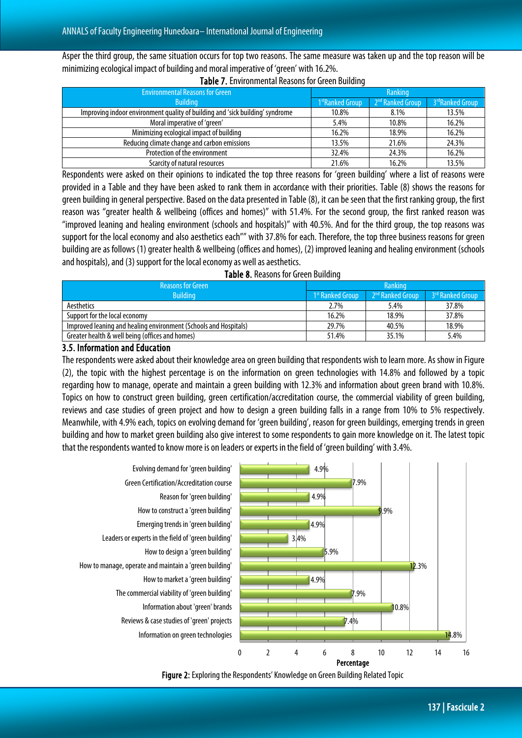Asper the third group, the same situation occurs for top two reasons. The same measure was taken up and the top reason will be minimizing ecological impact of building and moral imperative of 'green' with 16.2%.

| <b>Environmental Reasons for Green</b>                                        | Ranking                      |                              |                              |
|-------------------------------------------------------------------------------|------------------------------|------------------------------|------------------------------|
| <b>Building</b>                                                               | 1 <sup>st</sup> Ranked Group | 2 <sup>nd</sup> Ranked Group | 3 <sup>rd</sup> Ranked Group |
| Improving indoor environment quality of building and 'sick building' syndrome | 10.8%                        | 8.1%                         | 13.5%                        |
| Moral imperative of 'green'                                                   | 5.4%                         | 10.8%                        | 16.2%                        |
| Minimizing ecological impact of building                                      | 16.2%                        | 18.9%                        | 16.2%                        |
| Reducing climate change and carbon emissions                                  | 13.5%                        | 21.6%                        | 24.3%                        |
| Protection of the environment                                                 | 32.4%                        | 24.3%                        | 16.2%                        |
| Scarcity of natural resources                                                 | 21.6%                        | 16.2%                        | 13.5%                        |

#### Table 7. Environmental Reasons for Green Building

Respondents were asked on their opinions to indicated the top three reasons for 'green building' where a list of reasons were provided in a Table and they have been asked to rank them in accordance with their priorities. Table (8) shows the reasons for green building in general perspective. Based on the data presented in Table (8), it can be seen that the first ranking group, the first reason was "greater health & wellbeing (offices and homes)" with 51.4%. For the second group, the first ranked reason was "improved leaning and healing environment (schools and hospitals)" with 40.5%. And for the third group, the top reasons was support for the local economy and also aesthetics each"" with 37.8% for each. Therefore, the top three business reasons for green building are as follows (1) greater health & wellbeing (offices and homes), (2) improved leaning and healing environment (schools and hospitals), and (3) support for the local economy as well as aesthetics.

|  |  | Table 8. Reasons for Green Building |  |
|--|--|-------------------------------------|--|
|--|--|-------------------------------------|--|

| <b>Reasons for Green</b>                                         | Ranking                      |                              |                  |  |
|------------------------------------------------------------------|------------------------------|------------------------------|------------------|--|
| <b>Building</b>                                                  | 1 <sup>st</sup> Ranked Group | 2 <sup>nd</sup> Ranked Group | 3rd Ranked Group |  |
| Aesthetics                                                       | 2.7%                         | 5.4%                         | 37.8%            |  |
| Support for the local economy                                    | 16.2%                        | 18.9%                        | 37.8%            |  |
| Improved leaning and healing environment (Schools and Hospitals) | 29.7%                        | 40.5%                        | 18.9%            |  |
| Greater health & well being (offices and homes)                  | 51.4%                        | 35.1%                        | 5.4%             |  |

# 3.5. Information and Education

The respondents were asked about their knowledge area on green building that respondents wish to learn more. As show in Figure (2), the topic with the highest percentage is on the information on green technologies with 14.8% and followed by a topic regarding how to manage, operate and maintain a green building with 12.3% and information about green brand with 10.8%. Topics on how to construct green building, green certification/accreditation course, the commercial viability of green building, reviews and case studies of green project and how to design a green building falls in a range from 10% to 5% respectively. Meanwhile, with 4.9% each, topics on evolving demand for 'green building', reason for green buildings, emerging trends in green building and how to market green building also give interest to some respondents to gain more knowledge on it. The latest topic that the respondents wanted to know more is on leaders or experts in the field of 'green building' with 3.4%.



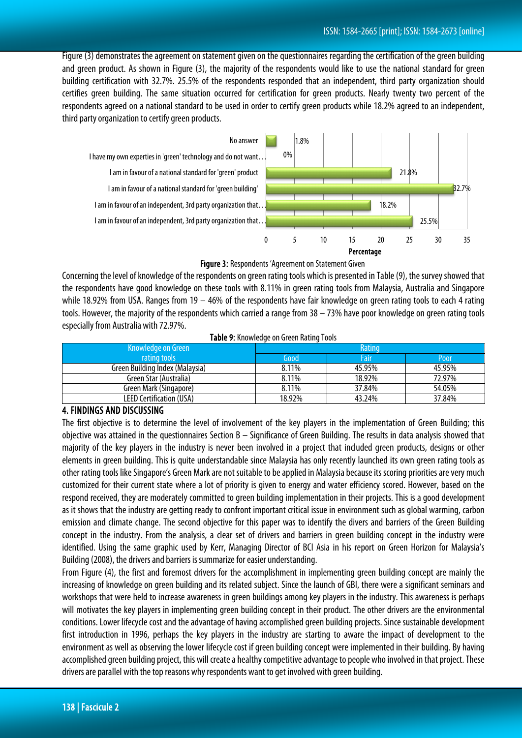Figure (3) demonstrates the agreement on statement given on the questionnaires regarding the certification of the green building and green product. As shown in Figure (3), the majority of the respondents would like to use the national standard for green building certification with 32.7%. 25.5% of the respondents responded that an independent, third party organization should certifies green building. The same situation occurred for certification for green products. Nearly twenty two percent of the respondents agreed on a national standard to be used in order to certify green products while 18.2% agreed to an independent, third party organization to certify green products.



#### Figure 3: Respondents 'Agreement on Statement Given

Concerning the level of knowledge of the respondents on green rating tools which is presented in Table (9), the survey showed that the respondents have good knowledge on these tools with 8.11% in green rating tools from Malaysia, Australia and Singapore while 18.92% from USA. Ranges from 19 – 46% of the respondents have fair knowledge on green rating tools to each 4 rating tools. However, the majority of the respondents which carried a range from 38 – 73% have poor knowledge on green rating tools especially from Australia with 72.97%.

|  | Table 9: Knowledge on Green Rating Tools |
|--|------------------------------------------|
|  |                                          |

| Knowledge on Green              | Rating |        |        |
|---------------------------------|--------|--------|--------|
| rating tools                    | Good   | Fair   | Poor   |
| Green Building Index (Malaysia) | 8.11%  | 45.95% | 45.95% |
| Green Star (Australia)          | 8.11%  | 18.92% | 72.97% |
| Green Mark (Singapore)          | 8.11%  | 37.84% | 54.05% |
| <b>LEED Certification (USA)</b> | 18.92% | 43.24% | 37.84% |

#### 4. FINDINGS AND DISCUSSING

The first objective is to determine the level of involvement of the key players in the implementation of Green Building; this objective was attained in the questionnaires Section B – Significance of Green Building. The results in data analysis showed that majority of the key players in the industry is never been involved in a project that included green products, designs or other elements in green building. This is quite understandable since Malaysia has only recently launched its own green rating tools as other rating tools like Singapore's Green Mark are not suitable to be applied in Malaysia because its scoring priorities are very much customized for their current state where a lot of priority is given to energy and water efficiency scored. However, based on the respond received, they are moderately committed to green building implementation in their projects. This is a good development as it shows that the industry are getting ready to confront important critical issue in environment such as global warming, carbon emission and climate change. The second objective for this paper was to identify the divers and barriers of the Green Building concept in the industry. From the analysis, a clear set of drivers and barriers in green building concept in the industry were identified. Using the same graphic used by Kerr, Managing Director of BCI Asia in his report on Green Horizon for Malaysia's Building (2008), the drivers and barriers is summarize for easier understanding.

From Figure (4), the first and foremost drivers for the accomplishment in implementing green building concept are mainly the increasing of knowledge on green building and its related subject. Since the launch of GBI, there were a significant seminars and workshops that were held to increase awareness in green buildings among key players in the industry. This awareness is perhaps will motivates the key players in implementing green building concept in their product. The other drivers are the environmental conditions. Lower lifecycle cost and the advantage of having accomplished green building projects. Since sustainable development first introduction in 1996, perhaps the key players in the industry are starting to aware the impact of development to the environment as well as observing the lower lifecycle cost if green building concept were implemented in their building. By having accomplished green building project, this will create a healthy competitive advantage to people who involved in that project. These drivers are parallel with the top reasons whyrespondents want to get involved with green building.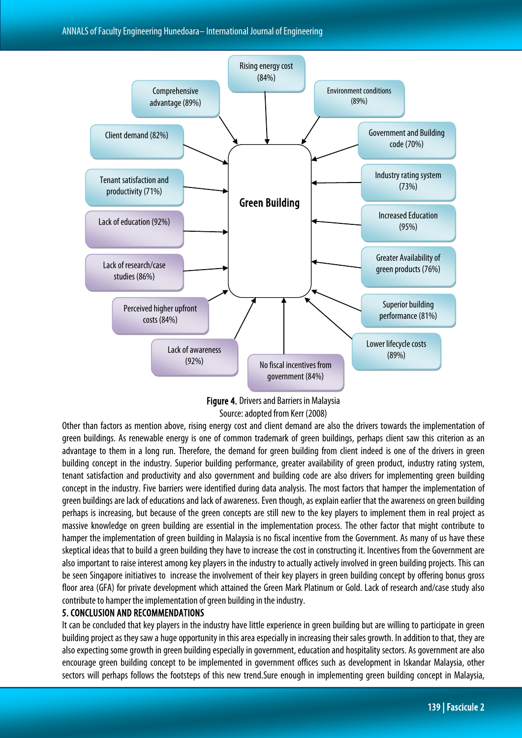



Other than factors as mention above, rising energy cost and client demand are also the drivers towards the implementation of green buildings. As renewable energy is one of common trademark of green buildings, perhaps client saw this criterion as an advantage to them in a long run. Therefore, the demand for green building from client indeed is one of the drivers in green building concept in the industry. Superior building performance, greater availability of green product, industry rating system, tenant satisfaction and productivity and also government and building code are also drivers for implementing green building concept in the industry. Five barriers were identified during data analysis. The most factors that hamper the implementation of green buildings are lack of educations and lack of awareness. Even though, as explain earlier that the awareness on green building perhaps is increasing, but because of the green concepts are still new to the key players to implement them in real project as massive knowledge on green building are essential in the implementation process. The other factor that might contribute to hamper the implementation of green building in Malaysia is no fiscal incentive from the Government. As many of us have these skeptical ideas that to build a green building they have to increase the cost in constructing it. Incentives from the Government are also important to raise interest among key players in the industry to actually actively involved in green building projects. This can be seen Singapore initiatives to increase the involvement of their key players in green building concept by offering bonus gross floor area (GFA) for private development which attained the Green Mark Platinum or Gold. Lack of research and/case study also contribute to hamper the implementation of green building in the industry.

#### 5. CONCLUSION AND RECOMMENDATIONS

It can be concluded that key players in the industry have little experience in green building but are willing to participate in green building project as they saw a huge opportunity in this area especially in increasing their sales growth. In addition to that, they are also expecting some growth in green building especially in government, education and hospitality sectors. As government are also encourage green building concept to be implemented in government offices such as development in Iskandar Malaysia, other sectors will perhaps follows the footsteps of this new trend.Sure enough in implementing green building concept in Malaysia,